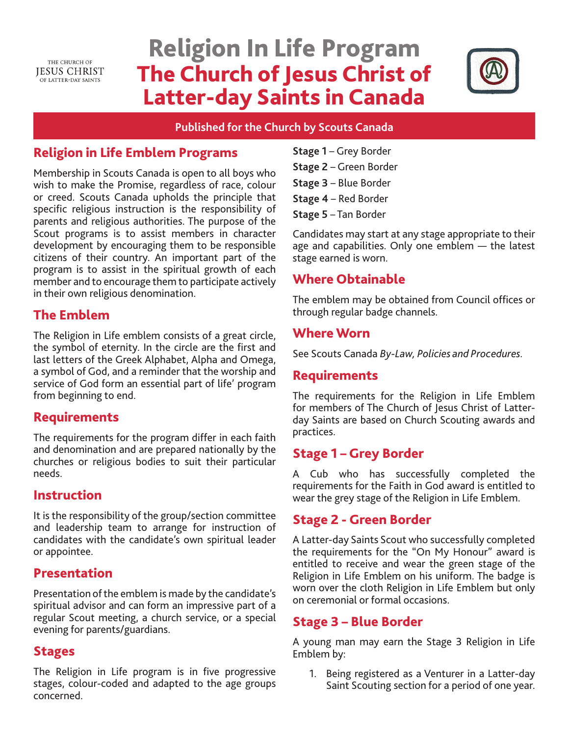THE CHURCH OF **IESUS CHRIST** OF LATTER-DAY SAINTS

# Religion In Life Program The Church of Jesus Christ of Latter-day Saints in Canada



#### **Published for the Church by Scouts Canada**

# Religion in Life Emblem Programs

Membership in Scouts Canada is open to all boys who wish to make the Promise, regardless of race, colour or creed. Scouts Canada upholds the principle that specific religious instruction is the responsibility of parents and religious authorities. The purpose of the Scout programs is to assist members in character development by encouraging them to be responsible citizens of their country. An important part of the program is to assist in the spiritual growth of each member and to encourage them to participate actively in their own religious denomination.

## The Emblem

The Religion in Life emblem consists of a great circle, the symbol of eternity. In the circle are the first and last letters of the Greek Alphabet, Alpha and Omega, a symbol of God, and a reminder that the worship and service of God form an essential part of life' program from beginning to end.

## Requirements

The requirements for the program differ in each faith and denomination and are prepared nationally by the churches or religious bodies to suit their particular needs.

#### Instruction

It is the responsibility of the group/section committee and leadership team to arrange for instruction of candidates with the candidate's own spiritual leader or appointee.

#### Presentation

Presentation of the emblem is made by the candidate's spiritual advisor and can form an impressive part of a regular Scout meeting, a church service, or a special evening for parents/guardians.

#### Stages

The Religion in Life program is in five progressive stages, colour-coded and adapted to the age groups concerned.

- **Stage 1** Grey Border
- **Stage 2** Green Border
- **Stage 3** Blue Border
- **Stage 4** Red Border

**Stage 5** – Tan Border

Candidates may start at any stage appropriate to their age and capabilities. Only one emblem — the latest stage earned is worn.

# Where Obtainable

The emblem may be obtained from Council offices or through regular badge channels.

#### Where Worn

See Scouts Canada *By-Law, Policies and Procedures.* 

#### Requirements

The requirements for the Religion in Life Emblem for members of The Church of Jesus Christ of Latterday Saints are based on Church Scouting awards and practices.

## Stage 1 – Grey Border

A Cub who has successfully completed the requirements for the Faith in God award is entitled to wear the grey stage of the Religion in Life Emblem.

#### Stage 2 - Green Border

A Latter-day Saints Scout who successfully completed the requirements for the "On My Honour" award is entitled to receive and wear the green stage of the Religion in Life Emblem on his uniform. The badge is worn over the cloth Religion in Life Emblem but only on ceremonial or formal occasions.

#### Stage 3 – Blue Border

A young man may earn the Stage 3 Religion in Life Emblem by:

1. Being registered as a Venturer in a Latter-day Saint Scouting section for a period of one year.